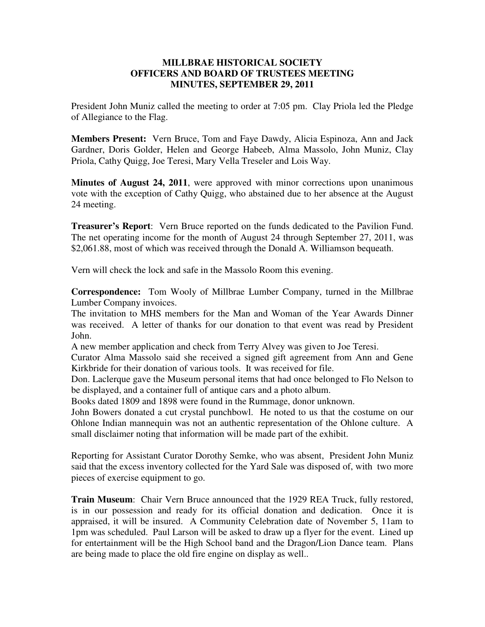## **MILLBRAE HISTORICAL SOCIETY OFFICERS AND BOARD OF TRUSTEES MEETING MINUTES, SEPTEMBER 29, 2011**

President John Muniz called the meeting to order at 7:05 pm. Clay Priola led the Pledge of Allegiance to the Flag.

**Members Present:** Vern Bruce, Tom and Faye Dawdy, Alicia Espinoza, Ann and Jack Gardner, Doris Golder, Helen and George Habeeb, Alma Massolo, John Muniz, Clay Priola, Cathy Quigg, Joe Teresi, Mary Vella Treseler and Lois Way.

**Minutes of August 24, 2011**, were approved with minor corrections upon unanimous vote with the exception of Cathy Quigg, who abstained due to her absence at the August 24 meeting.

**Treasurer's Report**: Vern Bruce reported on the funds dedicated to the Pavilion Fund. The net operating income for the month of August 24 through September 27, 2011, was \$2,061.88, most of which was received through the Donald A. Williamson bequeath.

Vern will check the lock and safe in the Massolo Room this evening.

**Correspondence:** Tom Wooly of Millbrae Lumber Company, turned in the Millbrae Lumber Company invoices.

The invitation to MHS members for the Man and Woman of the Year Awards Dinner was received. A letter of thanks for our donation to that event was read by President John.

A new member application and check from Terry Alvey was given to Joe Teresi.

Curator Alma Massolo said she received a signed gift agreement from Ann and Gene Kirkbride for their donation of various tools. It was received for file.

Don. Laclerque gave the Museum personal items that had once belonged to Flo Nelson to be displayed, and a container full of antique cars and a photo album.

Books dated 1809 and 1898 were found in the Rummage, donor unknown.

John Bowers donated a cut crystal punchbowl. He noted to us that the costume on our Ohlone Indian mannequin was not an authentic representation of the Ohlone culture. A small disclaimer noting that information will be made part of the exhibit.

Reporting for Assistant Curator Dorothy Semke, who was absent, President John Muniz said that the excess inventory collected for the Yard Sale was disposed of, with two more pieces of exercise equipment to go.

**Train Museum**: Chair Vern Bruce announced that the 1929 REA Truck, fully restored, is in our possession and ready for its official donation and dedication. Once it is appraised, it will be insured. A Community Celebration date of November 5, 11am to 1pm was scheduled. Paul Larson will be asked to draw up a flyer for the event. Lined up for entertainment will be the High School band and the Dragon/Lion Dance team. Plans are being made to place the old fire engine on display as well..